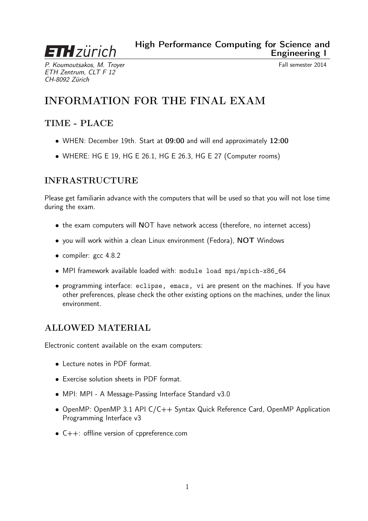#### High Performance Computing for Science and Engineering I

P. Koumoutsakos, M. Troyer Channels and the Control of Tall semester 2014 ETH Zentrum, CLT F 12 CH-8092 Zürich

**ETH** zürich

# INFORMATION FOR THE FINAL EXAM

## TIME - PLACE

- WHEN: December 19th. Start at 09:00 and will end approximately 12:00
- WHERE: HG E 19, HG E 26.1, HG E 26.3, HG E 27 (Computer rooms)

### INFRASTRUCTURE

Please get familiarin advance with the computers that will be used so that you will not lose time during the exam.

- the exam computers will NOT have network access (therefore, no internet access)
- you will work within a clean Linux environment (Fedora), NOT Windows
- compiler: gcc 4.8.2
- MPI framework available loaded with: module load mpi/mpich-x86\_64
- programming interface: eclipse, emacs, vi are present on the machines. If you have other preferences, please check the other existing options on the machines, under the linux environment.

#### ALLOWED MATERIAL

Electronic content available on the exam computers:

- Lecture notes in PDF format.
- Exercise solution sheets in PDF format.
- MPI: MPI A Message-Passing Interface Standard v3.0
- OpenMP: OpenMP 3.1 API C/C++ Syntax Quick Reference Card, OpenMP Application Programming Interface v3
- C++: offline version of cppreference.com